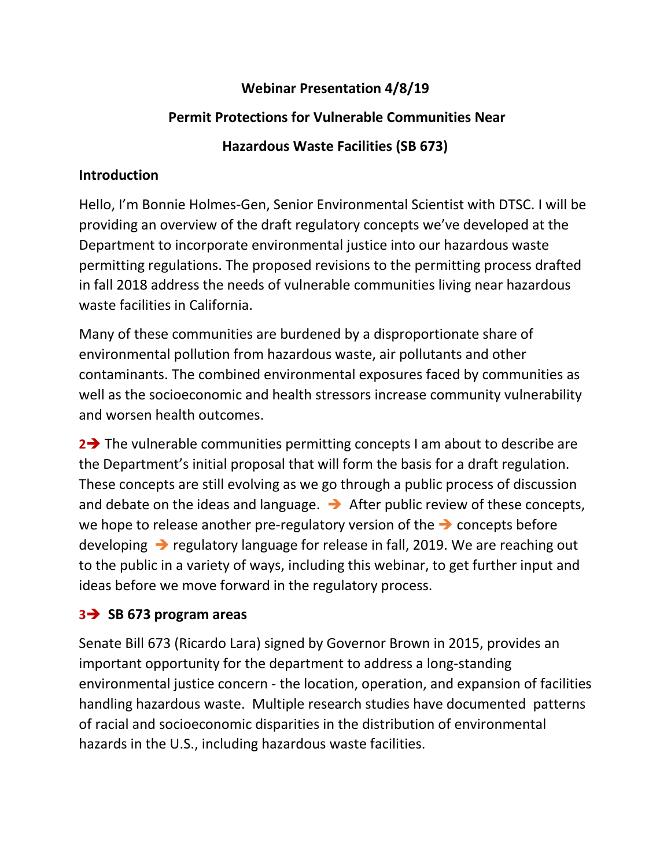#### **Webinar Presentation 4/8/19**

#### **Permit Protections for Vulnerable Communities Near**

#### **Hazardous Waste Facilities (SB 673)**

#### **Introduction**

Hello, I'm Bonnie Holmes-Gen, Senior Environmental Scientist with DTSC. I will be providing an overview of the draft regulatory concepts we've developed at the Department to incorporate environmental justice into our hazardous waste permitting regulations. The proposed revisions to the permitting process drafted in fall 2018 address the needs of vulnerable communities living near hazardous waste facilities in California.

Many of these communities are burdened by a disproportionate share of environmental pollution from hazardous waste, air pollutants and other contaminants. The combined environmental exposures faced by communities as well as the socioeconomic and health stressors increase community vulnerability and worsen health outcomes.

**2→** The vulnerable communities permitting concepts I am about to describe are the Department's initial proposal that will form the basis for a draft regulation. These concepts are still evolving as we go through a public process of discussion and debate on the ideas and language.  $\rightarrow$  After public review of these concepts, we hope to release another pre-regulatory version of the → concepts before developing ➔ regulatory language for release in fall, 2019. We are reaching out to the public in a variety of ways, including this webinar, to get further input and ideas before we move forward in the regulatory process.

#### **3**➔ **SB 673 program areas**

Senate Bill 673 (Ricardo Lara) signed by Governor Brown in 2015, provides an important opportunity for the department to address a long-standing environmental justice concern - the location, operation, and expansion of facilities handling hazardous waste. Multiple research studies have documented patterns of racial and socioeconomic disparities in the distribution of environmental hazards in the U.S., including hazardous waste facilities.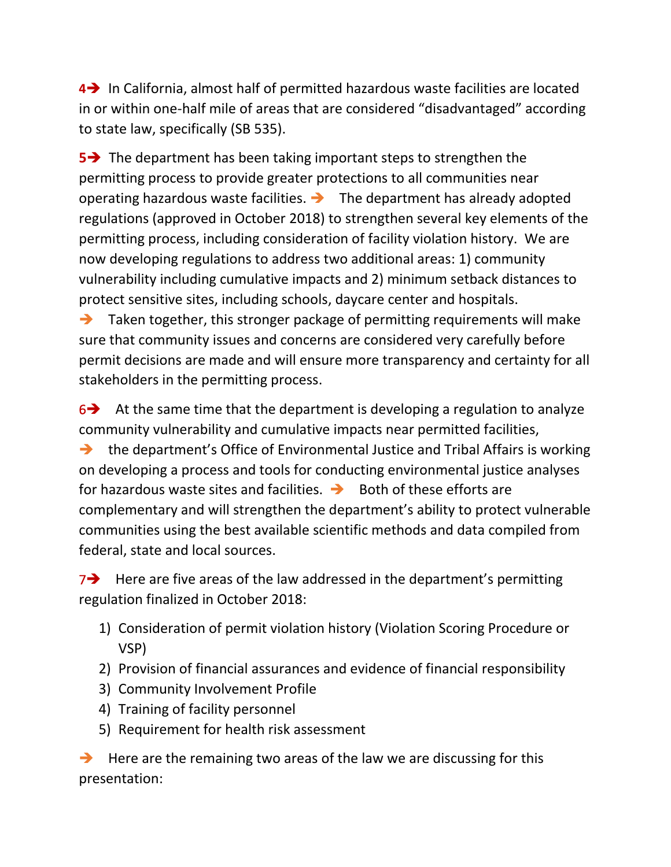**4**➔ In California, almost half of permitted hazardous waste facilities are located in or within one-half mile of areas that are considered "disadvantaged" according to state law, specifically (SB 535).

**5→** The department has been taking important steps to strengthen the permitting process to provide greater protections to all communities near operating hazardous waste facilities. ➔ The department has already adopted regulations (approved in October 2018) to strengthen several key elements of the permitting process, including consideration of facility violation history. We are now developing regulations to address two additional areas: 1) community vulnerability including cumulative impacts and 2) minimum setback distances to protect sensitive sites, including schools, daycare center and hospitals.

➔ Taken together, this stronger package of permitting requirements will make sure that community issues and concerns are considered very carefully before permit decisions are made and will ensure more transparency and certainty for all stakeholders in the permitting process.

 $6\rightarrow$  At the same time that the department is developing a regulation to analyze community vulnerability and cumulative impacts near permitted facilities, ➔ the department's Office of Environmental Justice and Tribal Affairs is working on developing a process and tools for conducting environmental justice analyses for hazardous waste sites and facilities.  $\rightarrow$  Both of these efforts are complementary and will strengthen the department's ability to protect vulnerable communities using the best available scientific methods and data compiled from federal, state and local sources.

7➔ Here are five areas of the law addressed in the department's permitting regulation finalized in October 2018:

- 1) Consideration of permit violation history (Violation Scoring Procedure or VSP)
- 2) Provision of financial assurances and evidence of financial responsibility
- 3) Community Involvement Profile
- 4) Training of facility personnel
- 5) Requirement for health risk assessment

 $\rightarrow$  Here are the remaining two areas of the law we are discussing for this presentation: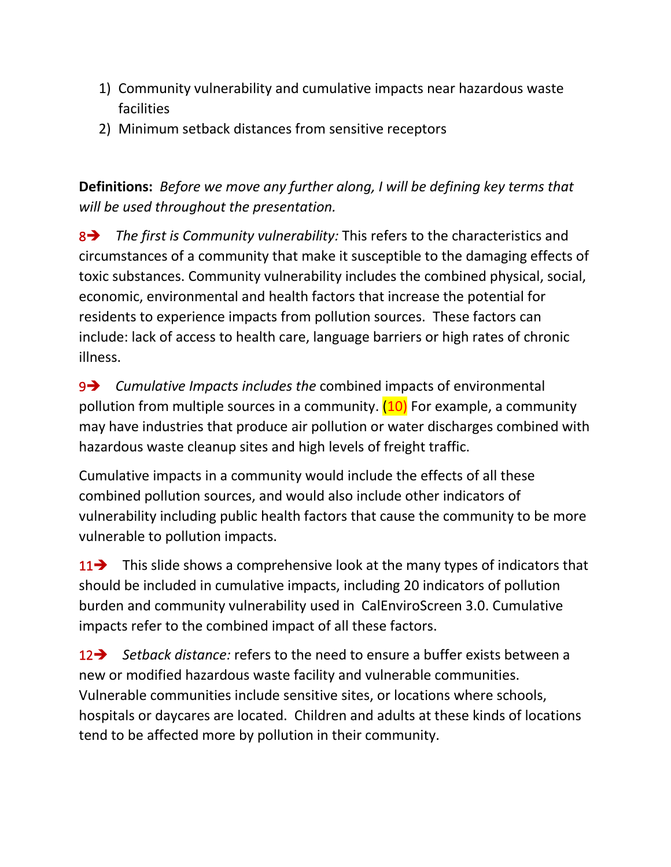- 1) Community vulnerability and cumulative impacts near hazardous waste facilities
- 2) Minimum setback distances from sensitive receptors

**Definitions:** *Before we move any further along, I will be defining key terms that will be used throughout the presentation.*

8➔ *The first is Community vulnerability:* This refers to the characteristics and circumstances of a community that make it susceptible to the damaging effects of toxic substances. Community vulnerability includes the combined physical, social, economic, environmental and health factors that increase the potential for residents to experience impacts from pollution sources. These factors can include: lack of access to health care, language barriers or high rates of chronic illness.

9➔ *Cumulative Impacts includes the* combined impacts of environmental pollution from multiple sources in a community.  $(10)$  For example, a community may have industries that produce air pollution or water discharges combined with hazardous waste cleanup sites and high levels of freight traffic.

Cumulative impacts in a community would include the effects of all these combined pollution sources, and would also include other indicators of vulnerability including public health factors that cause the community to be more vulnerable to pollution impacts.

11 → This slide shows a comprehensive look at the many types of indicators that should be included in cumulative impacts, including 20 indicators of pollution burden and community vulnerability used in CalEnviroScreen 3.0. Cumulative impacts refer to the combined impact of all these factors.

12➔ *Setback distance:* refers to the need to ensure a buffer exists between a new or modified hazardous waste facility and vulnerable communities. Vulnerable communities include sensitive sites, or locations where schools, hospitals or daycares are located. Children and adults at these kinds of locations tend to be affected more by pollution in their community.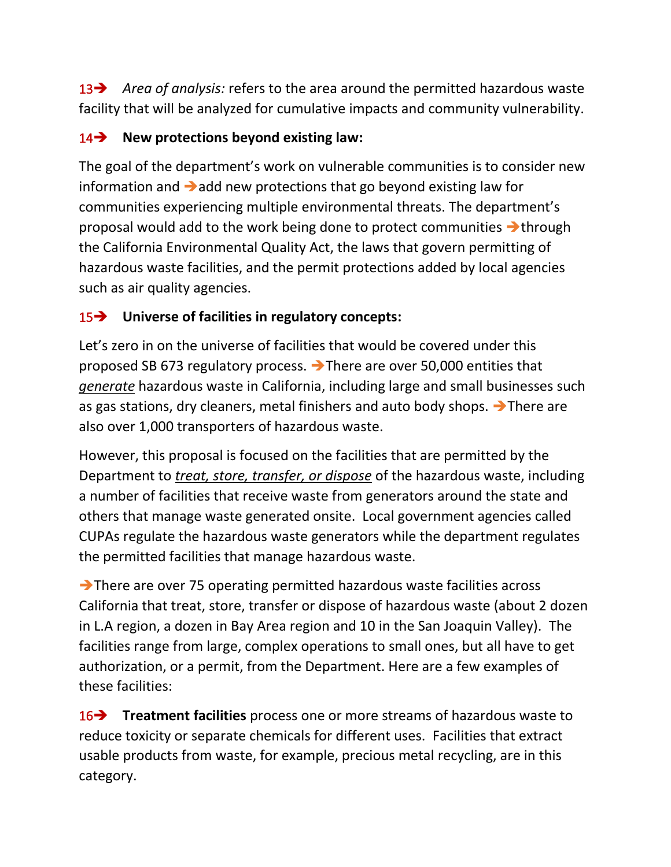13➔ *Area of analysis:* refers to the area around the permitted hazardous waste facility that will be analyzed for cumulative impacts and community vulnerability.

## 14➔ **New protections beyond existing law:**

The goal of the department's work on vulnerable communities is to consider new information and  $\rightarrow$  add new protections that go beyond existing law for communities experiencing multiple environmental threats. The department's proposal would add to the work being done to protect communities ➔through the California Environmental Quality Act, the laws that govern permitting of hazardous waste facilities, and the permit protections added by local agencies such as air quality agencies.

# 15➔ **Universe of facilities in regulatory concepts:**

Let's zero in on the universe of facilities that would be covered under this proposed SB 673 regulatory process. ➔There are over 50,000 entities that *generate* hazardous waste in California, including large and small businesses such as gas stations, dry cleaners, metal finishers and auto body shops. ➔There are also over 1,000 transporters of hazardous waste.

However, this proposal is focused on the facilities that are permitted by the Department to *treat, store, transfer, or dispose* of the hazardous waste, including a number of facilities that receive waste from generators around the state and others that manage waste generated onsite. Local government agencies called CUPAs regulate the hazardous waste generators while the department regulates the permitted facilities that manage hazardous waste.

➔There are over 75 operating permitted hazardous waste facilities across California that treat, store, transfer or dispose of hazardous waste (about 2 dozen in L.A region, a dozen in Bay Area region and 10 in the San Joaquin Valley). The facilities range from large, complex operations to small ones, but all have to get authorization, or a permit, from the Department. Here are a few examples of these facilities:

16➔ **Treatment facilities** process one or more streams of hazardous waste to reduce toxicity or separate chemicals for different uses. Facilities that extract usable products from waste, for example, precious metal recycling, are in this category.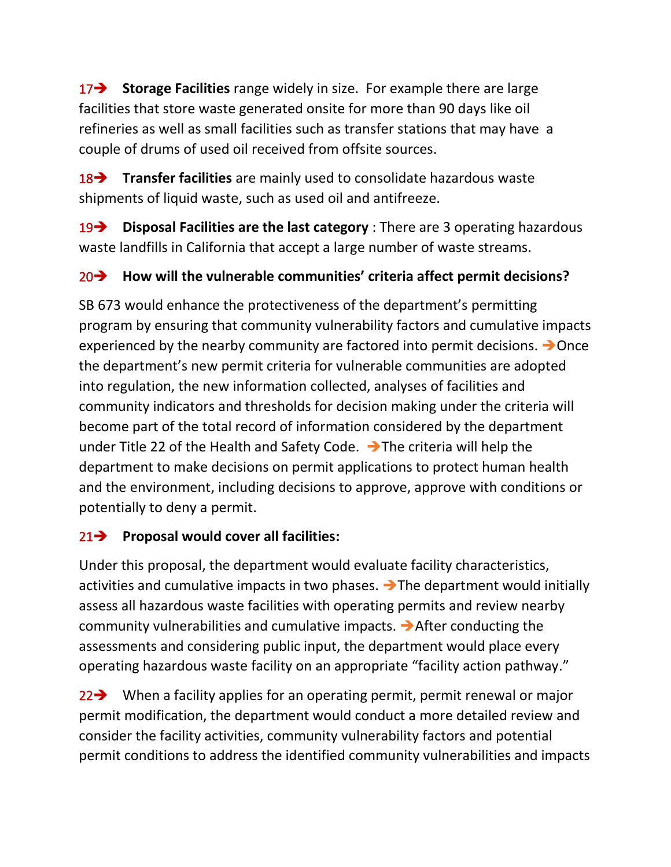17➔ **Storage Facilities** range widely in size. For example there are large facilities that store waste generated onsite for more than 90 days like oil refineries as well as small facilities such as transfer stations that may have a couple of drums of used oil received from offsite sources.

18➔ **Transfer facilities** are mainly used to consolidate hazardous waste shipments of liquid waste, such as used oil and antifreeze.

19➔ **Disposal Facilities are the last category** : There are 3 operating hazardous waste landfills in California that accept a large number of waste streams.

# 20➔ **How will the vulnerable communities' criteria affect permit decisions?**

SB 673 would enhance the protectiveness of the department's permitting program by ensuring that community vulnerability factors and cumulative impacts experienced by the nearby community are factored into permit decisions. ➔Once the department's new permit criteria for vulnerable communities are adopted into regulation, the new information collected, analyses of facilities and community indicators and thresholds for decision making under the criteria will become part of the total record of information considered by the department under Title 22 of the Health and Safety Code.  $\rightarrow$  The criteria will help the department to make decisions on permit applications to protect human health and the environment, including decisions to approve, approve with conditions or potentially to deny a permit.

## 21➔ **Proposal would cover all facilities:**

Under this proposal, the department would evaluate facility characteristics, activities and cumulative impacts in two phases.  $\rightarrow$  The department would initially assess all hazardous waste facilities with operating permits and review nearby community vulnerabilities and cumulative impacts. ➔After conducting the assessments and considering public input, the department would place every operating hazardous waste facility on an appropriate "facility action pathway."

22 → When a facility applies for an operating permit, permit renewal or major permit modification, the department would conduct a more detailed review and consider the facility activities, community vulnerability factors and potential permit conditions to address the identified community vulnerabilities and impacts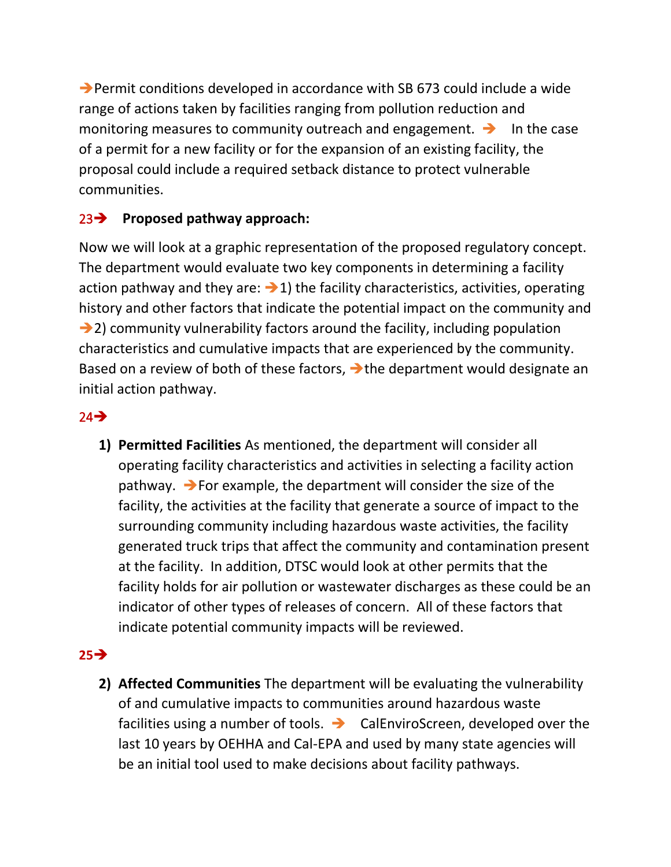➔Permit conditions developed in accordance with SB 673 could include a wide range of actions taken by facilities ranging from pollution reduction and monitoring measures to community outreach and engagement.  $\rightarrow$  In the case of a permit for a new facility or for the expansion of an existing facility, the proposal could include a required setback distance to protect vulnerable communities.

## 23➔ **Proposed pathway approach:**

Now we will look at a graphic representation of the proposed regulatory concept. The department would evaluate two key components in determining a facility action pathway and they are:  $\rightarrow$  1) the facility characteristics, activities, operating history and other factors that indicate the potential impact on the community and ➔2) community vulnerability factors around the facility, including population characteristics and cumulative impacts that are experienced by the community. Based on a review of both of these factors, → the department would designate an initial action pathway.

## $24 \rightarrow$

**1) Permitted Facilities** As mentioned, the department will consider all operating facility characteristics and activities in selecting a facility action pathway. ➔For example, the department will consider the size of the facility, the activities at the facility that generate a source of impact to the surrounding community including hazardous waste activities, the facility generated truck trips that affect the community and contamination present at the facility. In addition, DTSC would look at other permits that the facility holds for air pollution or wastewater discharges as these could be an indicator of other types of releases of concern. All of these factors that indicate potential community impacts will be reviewed.

## **25**➔

**2) Affected Communities** The department will be evaluating the vulnerability of and cumulative impacts to communities around hazardous waste facilities using a number of tools. ➔ CalEnviroScreen, developed over the last 10 years by OEHHA and Cal-EPA and used by many state agencies will be an initial tool used to make decisions about facility pathways.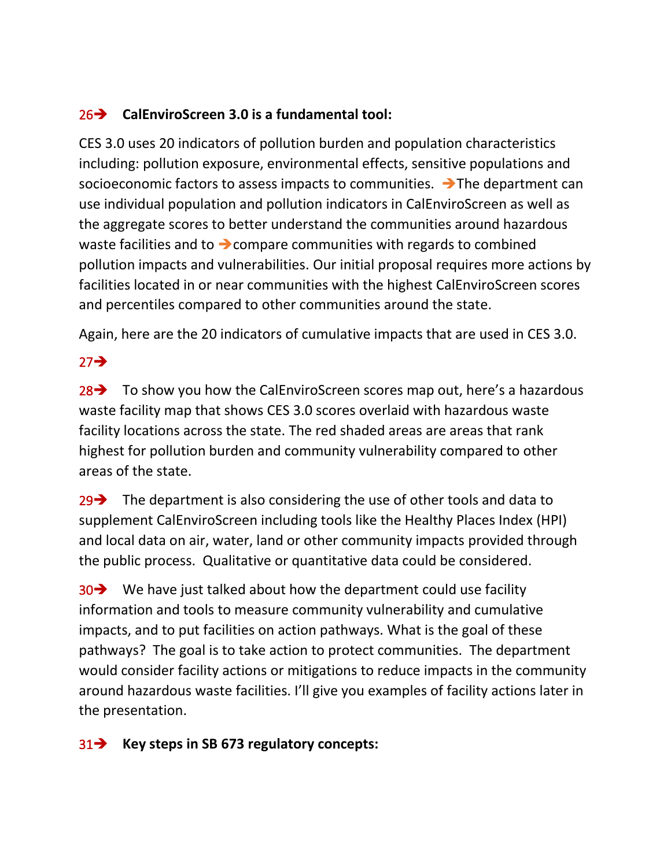#### 26➔ **CalEnviroScreen 3.0 is a fundamental tool:**

CES 3.0 uses 20 indicators of pollution burden and population characteristics including: pollution exposure, environmental effects, sensitive populations and socioeconomic factors to assess impacts to communities.  $\rightarrow$  The department can use individual population and pollution indicators in CalEnviroScreen as well as the aggregate scores to better understand the communities around hazardous waste facilities and to → compare communities with regards to combined pollution impacts and vulnerabilities. Our initial proposal requires more actions by facilities located in or near communities with the highest CalEnviroScreen scores and percentiles compared to other communities around the state.

Again, here are the 20 indicators of cumulative impacts that are used in CES 3.0.

# 27➔

28 → To show you how the CalEnviroScreen scores map out, here's a hazardous waste facility map that shows CES 3.0 scores overlaid with hazardous waste facility locations across the state. The red shaded areas are areas that rank highest for pollution burden and community vulnerability compared to other areas of the state.

29 $\rightarrow$  The department is also considering the use of other tools and data to supplement CalEnviroScreen including tools like the Healthy Places Index (HPI) and local data on air, water, land or other community impacts provided through the public process. Qualitative or quantitative data could be considered.

30 → We have just talked about how the department could use facility information and tools to measure community vulnerability and cumulative impacts, and to put facilities on action pathways. What is the goal of these pathways? The goal is to take action to protect communities. The department would consider facility actions or mitigations to reduce impacts in the community around hazardous waste facilities. I'll give you examples of facility actions later in the presentation.

#### 31➔ **Key steps in SB 673 regulatory concepts:**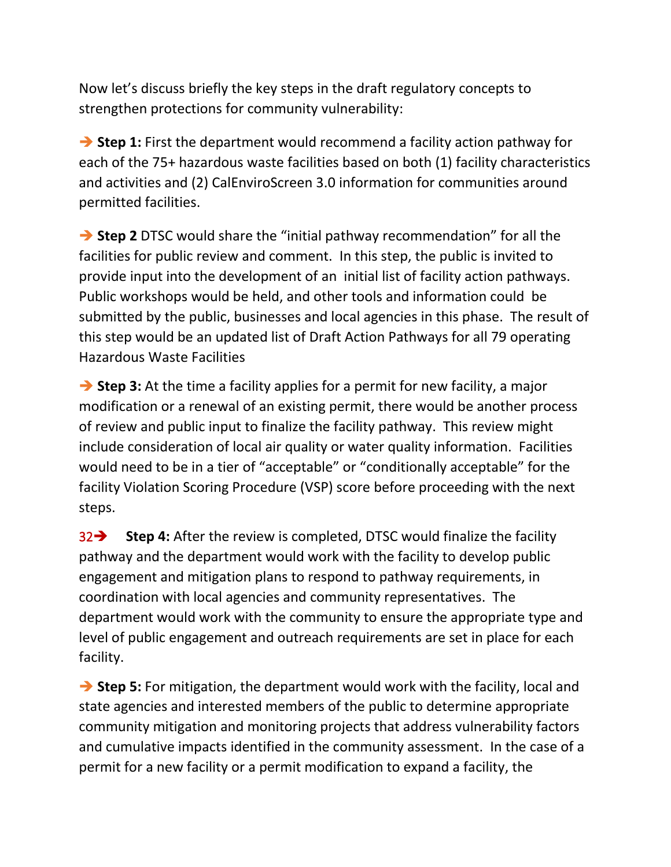Now let's discuss briefly the key steps in the draft regulatory concepts to strengthen protections for community vulnerability:

➔ **Step 1:** First the department would recommend a facility action pathway for each of the 75+ hazardous waste facilities based on both (1) facility characteristics and activities and (2) CalEnviroScreen 3.0 information for communities around permitted facilities.

➔ **Step 2** DTSC would share the "initial pathway recommendation" for all the facilities for public review and comment.In this step, the public is invited to provide input into the development of an initial list of facility action pathways. Public workshops would be held, and other tools and information could be submitted by the public, businesses and local agencies in this phase. The result of this step would be an updated list of Draft Action Pathways for all 79 operating Hazardous Waste Facilities

**→ Step 3:** At the time a facility applies for a permit for new facility, a major modification or a renewal of an existing permit, there would be another process of review and public input to finalize the facility pathway. This review might include consideration of local air quality or water quality information. Facilities would need to be in a tier of "acceptable" or "conditionally acceptable" for the facility Violation Scoring Procedure (VSP) score before proceeding with the next steps.

32➔ **Step 4:** After the review is completed, DTSC would finalize the facility pathway and the department would work with the facility to develop public engagement and mitigation plans to respond to pathway requirements, in coordination with local agencies and community representatives. The department would work with the community to ensure the appropriate type and level of public engagement and outreach requirements are set in place for each facility.

➔ **Step 5:** For mitigation, the department would work with the facility, local and state agencies and interested members of the public to determine appropriate community mitigation and monitoring projects that address vulnerability factors and cumulative impacts identified in the community assessment. In the case of a permit for a new facility or a permit modification to expand a facility, the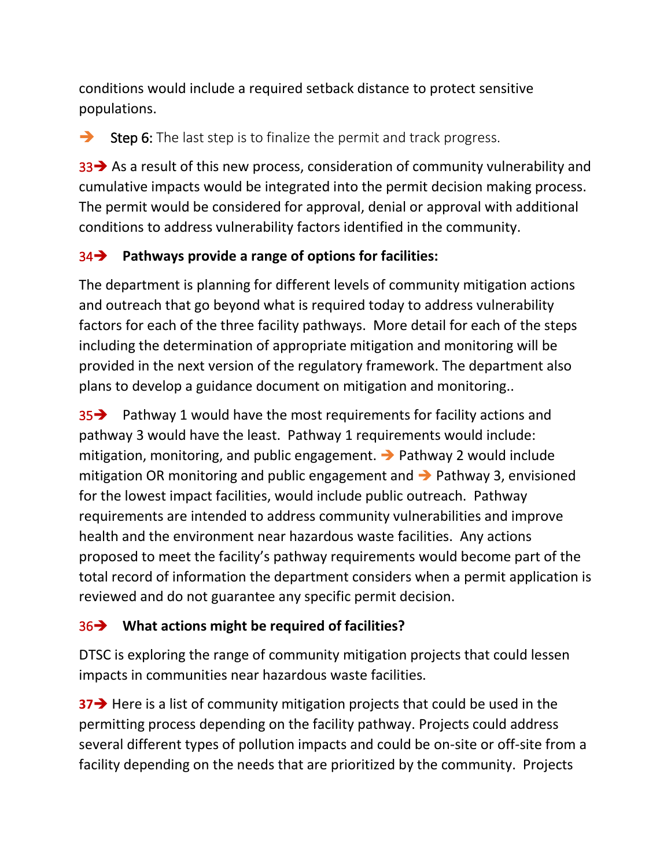conditions would include a required setback distance to protect sensitive populations.

 $\rightarrow$  Step 6: The last step is to finalize the permit and track progress.

33 → As a result of this new process, consideration of community vulnerability and cumulative impacts would be integrated into the permit decision making process. The permit would be considered for approval, denial or approval with additional conditions to address vulnerability factors identified in the community.

## 34➔ **Pathways provide a range of options for facilities:**

The department is planning for different levels of community mitigation actions and outreach that go beyond what is required today to address vulnerability factors for each of the three facility pathways. More detail for each of the steps including the determination of appropriate mitigation and monitoring will be provided in the next version of the regulatory framework. The department also plans to develop a guidance document on mitigation and monitoring..

35➔ Pathway 1 would have the most requirements for facility actions and pathway 3 would have the least. Pathway 1 requirements would include: mitigation, monitoring, and public engagement. ➔ Pathway 2 would include mitigation OR monitoring and public engagement and ➔ Pathway 3, envisioned for the lowest impact facilities, would include public outreach. Pathway requirements are intended to address community vulnerabilities and improve health and the environment near hazardous waste facilities. Any actions proposed to meet the facility's pathway requirements would become part of the total record of information the department considers when a permit application is reviewed and do not guarantee any specific permit decision.

## 36➔ **What actions might be required of facilities?**

DTSC is exploring the range of community mitigation projects that could lessen impacts in communities near hazardous waste facilities.

**37→** Here is a list of community mitigation projects that could be used in the permitting process depending on the facility pathway. Projects could address several different types of pollution impacts and could be on-site or off-site from a facility depending on the needs that are prioritized by the community. Projects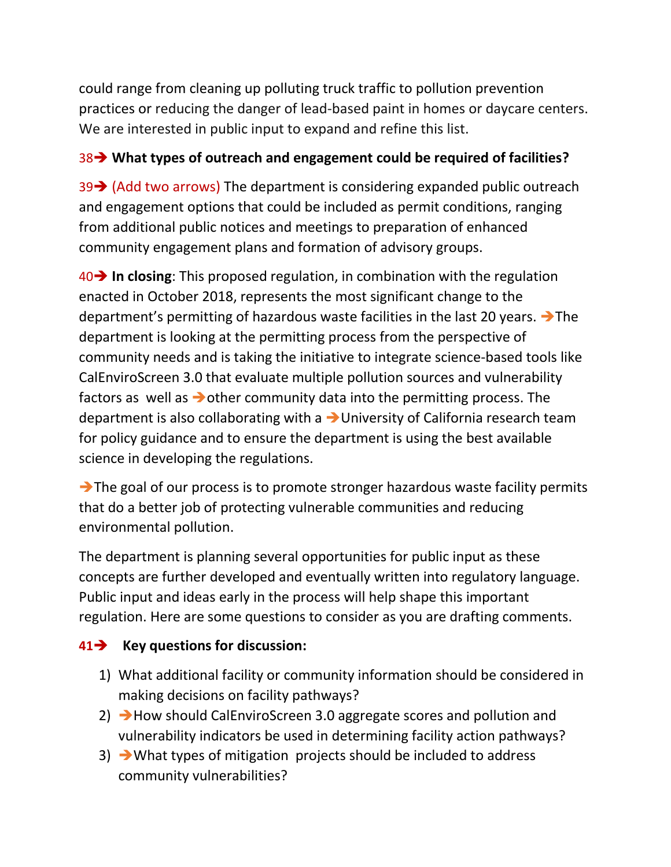could range from cleaning up polluting truck traffic to pollution prevention practices or reducing the danger of lead-based paint in homes or daycare centers. We are interested in public input to expand and refine this list.

#### 38➔ **What types of outreach and engagement could be required of facilities?**

39➔ (Add two arrows) The department is considering expanded public outreach and engagement options that could be included as permit conditions, ranging from additional public notices and meetings to preparation of enhanced community engagement plans and formation of advisory groups.

40➔ **In closing**: This proposed regulation, in combination with the regulation enacted in October 2018, represents the most significant change to the department's permitting of hazardous waste facilities in the last 20 years. ➔The department is looking at the permitting process from the perspective of community needs and is taking the initiative to integrate science-based tools like CalEnviroScreen 3.0 that evaluate multiple pollution sources and vulnerability factors as well as ➔other community data into the permitting process. The department is also collaborating with a ➔University of California research team for policy guidance and to ensure the department is using the best available science in developing the regulations.

➔The goal of our process is to promote stronger hazardous waste facility permits that do a better job of protecting vulnerable communities and reducing environmental pollution.

The department is planning several opportunities for public input as these concepts are further developed and eventually written into regulatory language. Public input and ideas early in the process will help shape this important regulation. Here are some questions to consider as you are drafting comments.

## **41**➔ **Key questions for discussion:**

- 1) What additional facility or community information should be considered in making decisions on facility pathways?
- 2) → How should CalEnviroScreen 3.0 aggregate scores and pollution and vulnerability indicators be used in determining facility action pathways?
- $3)$   $\rightarrow$  What types of mitigation projects should be included to address community vulnerabilities?